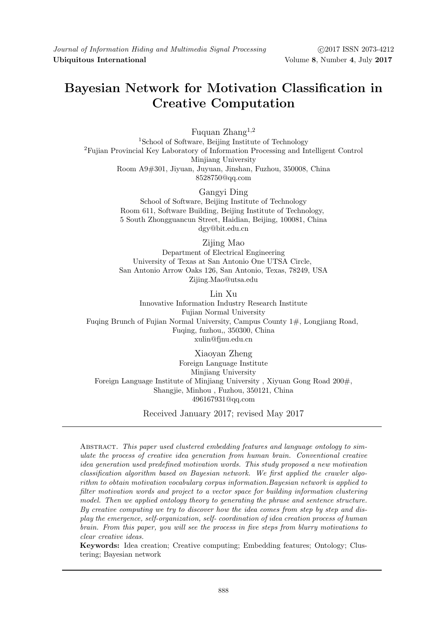## **Bayesian Network for Motivation Classification in Creative Computation**

Fuquan Zhang<sup>1</sup>*,*<sup>2</sup> <sup>1</sup>School of Software, Beijing Institute of Technology <sup>2</sup>Fujian Provincial Key Laboratory of Information Processing and Intelligent Control Minjiang University Room A9#301, Jiyuan, Juyuan, Jinshan, Fuzhou, 350008, China 8528750@qq.com

> Gangyi Ding School of Software, Beijing Institute of Technology Room 611, Software Building, Beijing Institute of Technology, 5 South Zhongguancun Street, Haidian, Beijing, 100081, China dgy@bit.edu.cn

> > Zijing Mao

Department of Electrical Engineering University of Texas at San Antonio One UTSA Circle, San Antonio Arrow Oaks 126, San Antonio, Texas, 78249, USA Zijing.Mao@utsa.edu

Lin Xu

Innovative Information Industry Research Institute Fujian Normal University Fuqing Brunch of Fujian Normal University, Campus County 1#, Longjiang Road, Fuqing, fuzhou,, 350300, China xulin@fjnu.edu.cn

Xiaoyan Zheng Foreign Language Institute Minjiang University Foreign Language Institute of Minjiang University , Xiyuan Gong Road 200#, Shangjie, Minhou , Fuzhou, 350121, China 496167931@qq.com

Received January 2017; revised May 2017

Abstract. *This paper used clustered embedding features and language ontology to simulate the process of creative idea generation from human brain. Conventional creative idea generation used predefined motivation words. This study proposed a new motivation classification algorithm based on Bayesian network. We first applied the crawler algorithm to obtain motivation vocabulary corpus information.Bayesian network is applied to filter motivation words and project to a vector space for building information clustering model. Then we applied ontology theory to generating the phrase and sentence structure. By creative computing we try to discover how the idea comes from step by step and display the emergence, self-organization, self- coordination of idea creation process of human brain. From this paper, you will see the process in five steps from blurry motivations to clear creative ideas.*

**Keywords:** Idea creation; Creative computing; Embedding features; Ontology; Clustering; Bayesian network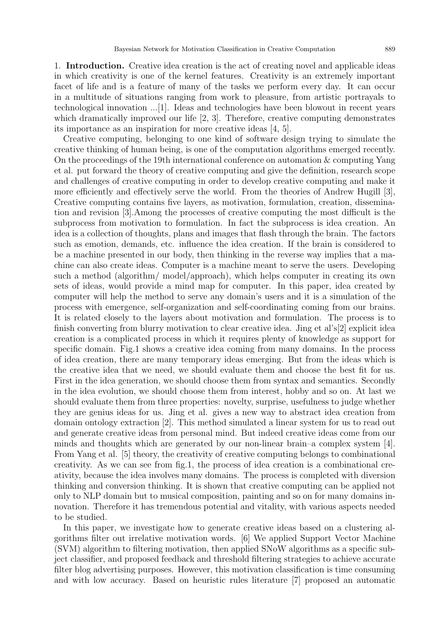1. **Introduction.** Creative idea creation is the act of creating novel and applicable ideas in which creativity is one of the kernel features. Creativity is an extremely important facet of life and is a feature of many of the tasks we perform every day. It can occur in a multitude of situations ranging from work to pleasure, from artistic portrayals to technological innovation ...[1]. Ideas and technologies have been blowout in recent years which dramatically improved our life [2, 3]. Therefore, creative computing demonstrates its importance as an inspiration for more creative ideas [4, 5].

Creative computing, belonging to one kind of software design trying to simulate the creative thinking of human being, is one of the computation algorithms emerged recently. On the proceedings of the 19th international conference on automation  $\&$  computing Yang et al. put forward the theory of creative computing and give the definition, research scope and challenges of creative computing in order to develop creative computing and make it more efficiently and effectively serve the world. From the theories of Andrew Hugill [3], Creative computing contains five layers, as motivation, formulation, creation, dissemination and revision [3].Among the processes of creative computing the most difficult is the subprocess from motivation to formulation. In fact the subprocess is idea creation. An idea is a collection of thoughts, plans and images that flash through the brain. The factors such as emotion, demands, etc. influence the idea creation. If the brain is considered to be a machine presented in our body, then thinking in the reverse way implies that a machine can also create ideas. Computer is a machine meant to serve the users. Developing such a method (algorithm/ model/approach), which helps computer in creating its own sets of ideas, would provide a mind map for computer. In this paper, idea created by computer will help the method to serve any domain's users and it is a simulation of the process with emergence, self-organization and self-coordinating coming from our brains. It is related closely to the layers about motivation and formulation. The process is to finish converting from blurry motivation to clear creative idea. Jing et al's[2] explicit idea creation is a complicated process in which it requires plenty of knowledge as support for specific domain. Fig.1 shows a creative idea coming from many domains. In the process of idea creation, there are many temporary ideas emerging. But from the ideas which is the creative idea that we need, we should evaluate them and choose the best fit for us. First in the idea generation, we should choose them from syntax and semantics. Secondly in the idea evolution, we should choose them from interest, hobby and so on. At last we should evaluate them from three properties: novelty, surprise, usefulness to judge whether they are genius ideas for us. Jing et al. gives a new way to abstract idea creation from domain ontology extraction [2]. This method simulated a linear system for us to read out and generate creative ideas from personal mind. But indeed creative ideas come from our minds and thoughts which are generated by our non-linear brain–a complex system [4]. From Yang et al. [5] theory, the creativity of creative computing belongs to combinational creativity. As we can see from fig.1, the process of idea creation is a combinational creativity, because the idea involves many domains. The process is completed with diversion thinking and conversion thinking. It is shown that creative computing can be applied not only to NLP domain but to musical composition, painting and so on for many domains innovation. Therefore it has tremendous potential and vitality, with various aspects needed to be studied.

In this paper, we investigate how to generate creative ideas based on a clustering algorithms filter out irrelative motivation words. [6] We applied Support Vector Machine (SVM) algorithm to filtering motivation, then applied SNoW algorithms as a specific subject classifier, and proposed feedback and threshold filtering strategies to achieve accurate filter blog advertising purposes. However, this motivation classification is time consuming and with low accuracy. Based on heuristic rules literature [7] proposed an automatic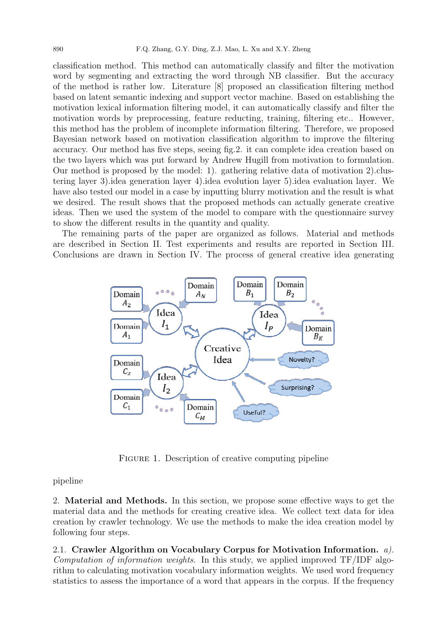classification method. This method can automatically classify and filter the motivation word by segmenting and extracting the word through NB classifier. But the accuracy of the method is rather low. Literature [8] proposed an classification filtering method based on latent semantic indexing and support vector machine. Based on establishing the motivation lexical information filtering model, it can automatically classify and filter the motivation words by preprocessing, feature reducting, training, filtering etc.. However, this method has the problem of incomplete information filtering. Therefore, we proposed Bayesian network based on motivation classification algorithm to improve the filtering accuracy. Our method has five steps, seeing fig.2. it can complete idea creation based on the two layers which was put forward by Andrew Hugill from motivation to formulation. Our method is proposed by the model: 1). gathering relative data of motivation 2).clustering layer 3).idea generation layer 4).idea evolution layer 5).idea evaluation layer. We have also tested our model in a case by inputting blurry motivation and the result is what we desired. The result shows that the proposed methods can actually generate creative ideas. Then we used the system of the model to compare with the questionnaire survey to show the different results in the quantity and quality.

The remaining parts of the paper are organized as follows. Material and methods are described in Section II. Test experiments and results are reported in Section III. Conclusions are drawn in Section IV. The process of general creative idea generating



FIGURE 1. Description of creative computing pipeline

## pipeline

2. **Material and Methods.** In this section, we propose some effective ways to get the material data and the methods for creating creative idea. We collect text data for idea creation by crawler technology. We use the methods to make the idea creation model by following four steps.

2.1. **Crawler Algorithm on Vocabulary Corpus for Motivation Information.** *a). Computation of information weights.* In this study, we applied improved TF/IDF algorithm to calculating motivation vocabulary information weights. We used word frequency statistics to assess the importance of a word that appears in the corpus. If the frequency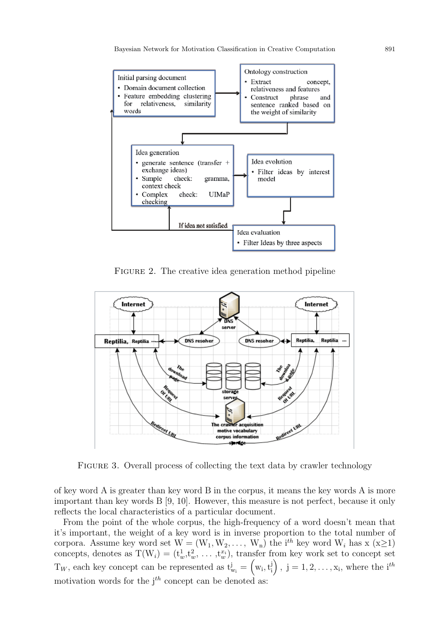

FIGURE 2. The creative idea generation method pipeline



Figure 3. Overall process of collecting the text data by crawler technology

of key word A is greater than key word B in the corpus, it means the key words A is more important than key words B [9, 10]. However, this measure is not perfect, because it only reflects the local characteristics of a particular document.

From the point of the whole corpus, the high-frequency of a word doesn't mean that it's important, the weight of a key word is in inverse proportion to the total number of corpora. Assume key word set  $W = (W_1, W_2, \ldots, W_n)$  the i<sup>th</sup> key word  $W_i$  has x (x $\geq$ 1) concepts, denotes as  $T(W_i) = (t_w^1, t_w^2, \ldots, t_w^x)$ , transfer from key work set to concept set  $T_W$ , each key concept can be represented as  $t_{w_i}^j = \left(w_i, t_i^j\right)$  $\binom{\mathrm{i}}{\mathrm{i}}$ ,  $\mathrm{j} = 1, 2, \ldots, \mathrm{x}_{\mathrm{i}}$ , where the i<sup>th</sup> motivation words for the j*th* concept can be denoted as: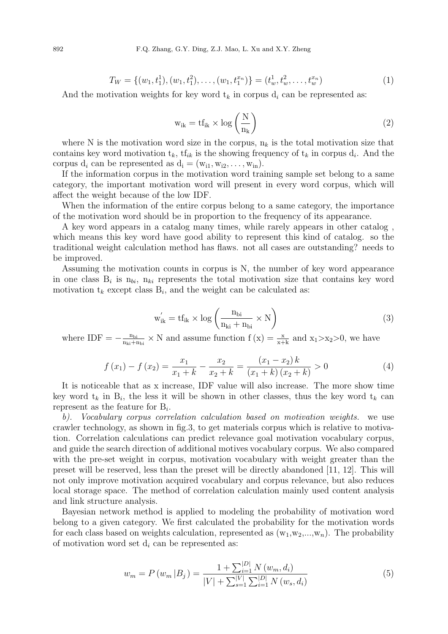$$
T_W = \{ (w_1, t_1^1), (w_1, t_1^2), \dots, (w_1, t_1^{x_n}) \} = (t_w^1, t_w^2, \dots, t_w^{x_n})
$$
(1)

And the motivation weights for key word  $t_k$  in corpus  $d_i$  can be represented as:

$$
w_{ik} = tf_{ik} \times \log\left(\frac{N}{n_k}\right) \tag{2}
$$

where N is the motivation word size in the corpus,  $n_k$  is the total motivation size that contains key word motivation  $t_k$ ,  $tf_{ik}$  is the showing frequency of  $t_k$  in corpus  $d_i$ . And the corpus  $d_i$  can be represented as  $d_i = (w_{i1}, w_{i2}, \ldots, w_{in}).$ 

If the information corpus in the motivation word training sample set belong to a same category, the important motivation word will present in every word corpus, which will affect the weight because of the low IDF.

When the information of the entire corpus belong to a same category, the importance of the motivation word should be in proportion to the frequency of its appearance.

A key word appears in a catalog many times, while rarely appears in other catalog , which means this key word have good ability to represent this kind of catalog. so the traditional weight calculation method has flaws. not all cases are outstanding? needs to be improved.

Assuming the motivation counts in corpus is N, the number of key word appearance in one class  $B_i$  is  $n_{bi}$ ,  $n_{ki}$  represents the total motivation size that contains key word motivation  $t_k$  except class  $B_i$ , and the weight can be calculated as:

$$
w'_{ik} = tf_{ik} \times \log\left(\frac{n_{bi}}{n_{ki} + n_{bi}} \times N\right)
$$
 (3)

where  $IDF = -\frac{n_{bi}}{n_{bi}+1}$  $\frac{n_{bi}}{n_{ki}+n_{bi}} \times N$  and assume function  $f(x) = \frac{x}{x+k}$  and  $x_1 > x_2 > 0$ , we have

$$
f(x_1) - f(x_2) = \frac{x_1}{x_1 + k} - \frac{x_2}{x_2 + k} = \frac{(x_1 - x_2)k}{(x_1 + k)(x_2 + k)} > 0
$$
\n(4)

It is noticeable that as x increase, IDF value will also increase. The more show time key word  $t_k$  in  $B_i$ , the less it will be shown in other classes, thus the key word  $t_k$  can represent as the feature for B*<sup>i</sup>* .

*b). Vocabulary corpus correlation calculation based on motivation weights.* we use crawler technology, as shown in fig.3, to get materials corpus which is relative to motivation. Correlation calculations can predict relevance goal motivation vocabulary corpus, and guide the search direction of additional motives vocabulary corpus. We also compared with the pre-set weight in corpus, motivation vocabulary with weight greater than the preset will be reserved, less than the preset will be directly abandoned [11, 12]. This will not only improve motivation acquired vocabulary and corpus relevance, but also reduces local storage space. The method of correlation calculation mainly used content analysis and link structure analysis.

Bayesian network method is applied to modeling the probability of motivation word belong to a given category. We first calculated the probability for the motivation words for each class based on weights calculation, represented as  $(w_1, w_2,...,w_n)$ . The probability of motivation word set d*<sup>i</sup>* can be represented as:

$$
w_m = P(w_m | B_j) = \frac{1 + \sum_{i=1}^{|D|} N(w_m, d_i)}{|V| + \sum_{s=1}^{|V|} \sum_{i=1}^{|D|} N(w_s, d_i)}
$$
(5)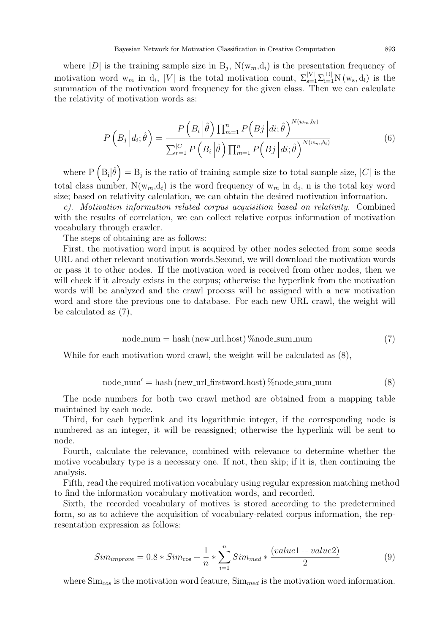where  $|D|$  is the training sample size in  $B_j$ ,  $N(w_m, d_i)$  is the presentation frequency of motivation word w<sub>m</sub> in d<sub>i</sub>, |V| is the total motivation count,  $\sum_{s=1}^{|V|} \sum_{i=1}^{|D|} N(w_s, d_i)$  is the summation of the motivation word frequency for the given class. Then we can calculate the relativity of motivation words as:

$$
P\left(B_j \left| d_i; \hat{\theta} \right.\right) = \frac{P\left(B_i \left| \hat{\theta} \right. \right) \prod_{m=1}^n P\left(B_j \left| d_i; \hat{\theta} \right.\right)^{N(w_m, b_i)}}{\sum_{r=1}^{|C|} P\left(B_i \left| \hat{\theta} \right.\right) \prod_{m=1}^n P\left(B_j \left| d_i; \hat{\theta} \right.\right)^{N(w_m, b_i)}}\tag{6}
$$

where  $P\left(B_i|\hat{\theta}\right) = B_j$  is the ratio of training sample size to total sample size,  $|C|$  is the total class number,  $N(w_m, d_i)$  is the word frequency of  $w_m$  in  $d_i$ , n is the total key word size; based on relativity calculation, we can obtain the desired motivation information.

*c). Motivation information related corpus acquisition based on relativity.* Combined with the results of correlation, we can collect relative corpus information of motivation vocabulary through crawler.

The steps of obtaining are as follows:

First, the motivation word input is acquired by other nodes selected from some seeds URL and other relevant motivation words.Second, we will download the motivation words or pass it to other nodes. If the motivation word is received from other nodes, then we will check if it already exists in the corpus; otherwise the hyperlink from the motivation words will be analyzed and the crawl process will be assigned with a new motivation word and store the previous one to database. For each new URL crawl, the weight will be calculated as (7),

$$
node_number = hash(newurl.host) % node.sum_number \tag{7}
$$

While for each motivation word crawl, the weight will be calculated as (8),

$$
node_number = hash(new url-firstword.host) \% node.sum_number
$$
 (8)

The node numbers for both two crawl method are obtained from a mapping table maintained by each node.

Third, for each hyperlink and its logarithmic integer, if the corresponding node is numbered as an integer, it will be reassigned; otherwise the hyperlink will be sent to node.

Fourth, calculate the relevance, combined with relevance to determine whether the motive vocabulary type is a necessary one. If not, then skip; if it is, then continuing the analysis.

Fifth, read the required motivation vocabulary using regular expression matching method to find the information vocabulary motivation words, and recorded.

Sixth, the recorded vocabulary of motives is stored according to the predetermined form, so as to achieve the acquisition of vocabulary-related corpus information, the representation expression as follows:

$$
Sim_{improve} = 0.8 * Sim_{\cos} + \frac{1}{n} * \sum_{i=1}^{n} Sim_{med} * \frac{(value1 + value2)}{2}
$$
\n
$$
(9)
$$

where Sim*cos* is the motivation word feature, Sim*med* is the motivation word information.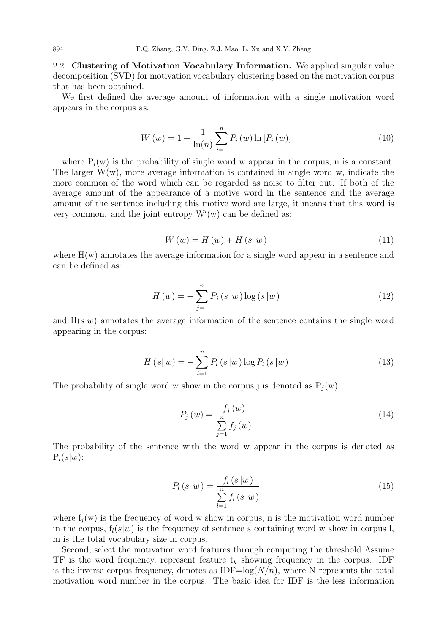2.2. **Clustering of Motivation Vocabulary Information.** We applied singular value decomposition (SVD) for motivation vocabulary clustering based on the motivation corpus that has been obtained.

We first defined the average amount of information with a single motivation word appears in the corpus as:

$$
W(w) = 1 + \frac{1}{\ln(n)} \sum_{i=1}^{n} P_i(w) \ln [P_i(w)] \tag{10}
$$

where  $P_i(w)$  is the probability of single word w appear in the corpus, n is a constant. The larger  $W(w)$ , more average information is contained in single word w, indicate the more common of the word which can be regarded as noise to filter out. If both of the average amount of the appearance of a motive word in the sentence and the average amount of the sentence including this motive word are large, it means that this word is very common. and the joint entropy W*′* (w) can be defined as:

$$
W(w) = H(w) + H(s|w)
$$
\n<sup>(11)</sup>

where  $H(w)$  annotates the average information for a single word appear in a sentence and can be defined as:

$$
H(w) = -\sum_{j=1}^{n} P_j(s|w) \log(s|w)
$$
\n(12)

and  $H(s|w)$  annotates the average information of the sentence contains the single word appearing in the corpus:

$$
H(s|w) = -\sum_{l=1}^{n} P_l(s|w) \log P_l(s|w)
$$
\n(13)

The probability of single word w show in the corpus j is denoted as  $P_i(w)$ :

$$
P_j(w) = \frac{f_j(w)}{\sum_{j=1}^{n} f_j(w)}
$$
\n(14)

The probability of the sentence with the word w appear in the corpus is denoted as  $P_l(s|w)$ :

$$
P_l(s|w) = \frac{f_l(s|w)}{\sum_{l=1}^{n} f_l(s|w)}
$$
(15)

where  $f_i(w)$  is the frequency of word w show in corpus, n is the motivation word number in the corpus,  $f_l(s|w)$  is the frequency of sentence s containing word w show in corpus l, m is the total vocabulary size in corpus.

Second, select the motivation word features through computing the threshold Assume TF is the word frequency, represent feature  $t_k$  showing frequency in the corpus. IDF is the inverse corpus frequency, denotes as  $IDF=log(N/n)$ , where N represents the total motivation word number in the corpus. The basic idea for IDF is the less information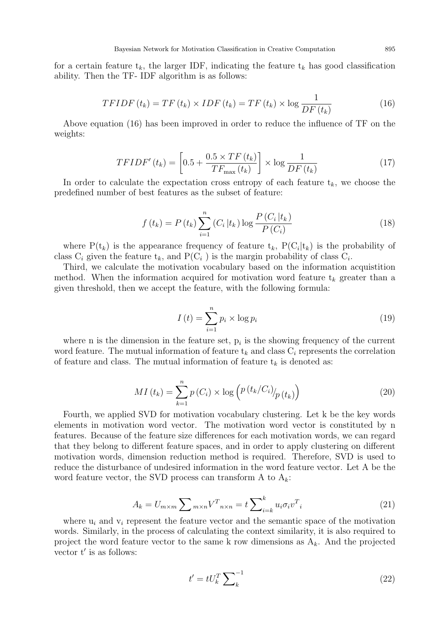for a certain feature  $t_k$ , the larger IDF, indicating the feature  $t_k$  has good classification ability. Then the TF- IDF algorithm is as follows:

$$
TFIDF(t_k) = TF(t_k) \times IDF(t_k) = TF(t_k) \times \log \frac{1}{DF(t_k)}
$$
\n(16)

Above equation (16) has been improved in order to reduce the influence of TF on the weights:

$$
TFIDF'(t_k) = \left[0.5 + \frac{0.5 \times TF(t_k)}{TF_{\text{max}}(t_k)}\right] \times \log \frac{1}{DF(t_k)}\tag{17}
$$

In order to calculate the expectation cross entropy of each feature  $t_k$ , we choose the predefined number of best features as the subset of feature:

$$
f(t_k) = P(t_k) \sum_{i=1}^{n} (C_i | t_k) \log \frac{P(C_i | t_k)}{P(C_i)}
$$
\n(18)

where  $P(t_k)$  is the appearance frequency of feature  $t_k$ ,  $P(C_i|t_k)$  is the probability of class  $C_i$  given the feature  $t_k$ , and  $P(C_i)$  is the margin probability of class  $C_i$ .

Third, we calculate the motivation vocabulary based on the information acquistition method. When the information acquired for motivation word feature  $t_k$  greater than a given threshold, then we accept the feature, with the following formula:

$$
I(t) = \sum_{i=1}^{n} p_i \times \log p_i \tag{19}
$$

where n is the dimension in the feature set,  $p_i$  is the showing frequency of the current word feature. The mutual information of feature  $t_k$  and class  $C_i$  represents the correlation of feature and class. The mutual information of feature  $t_k$  is denoted as:

$$
MI\left(t_{k}\right) = \sum_{k=1}^{n} p\left(C_{i}\right) \times \log\left(\frac{p\left(t_{k}/C_{i}\right)}{p\left(t_{k}\right)}\right) \tag{20}
$$

Fourth, we applied SVD for motivation vocabulary clustering. Let k be the key words elements in motivation word vector. The motivation word vector is constituted by n features. Because of the feature size differences for each motivation words, we can regard that they belong to different feature spaces, and in order to apply clustering on different motivation words, dimension reduction method is required. Therefore, SVD is used to reduce the disturbance of undesired information in the word feature vector. Let A be the word feature vector, the SVD process can transform A to  $A_k$ :

$$
A_k = U_{m \times m} \sum_{m \times n} V^T{}_{n \times n} = t \sum_{i=k}^k u_i \sigma_i v^T{}_i \tag{21}
$$

where  $u_i$  and  $v_i$  represent the feature vector and the semantic space of the motivation words. Similarly, in the process of calculating the context similarity, it is also required to project the word feature vector to the same k row dimensions as A*k*. And the projected vector t*′* is as follows:

$$
t' = tU_k^T \sum_k^{-1}
$$
\n(22)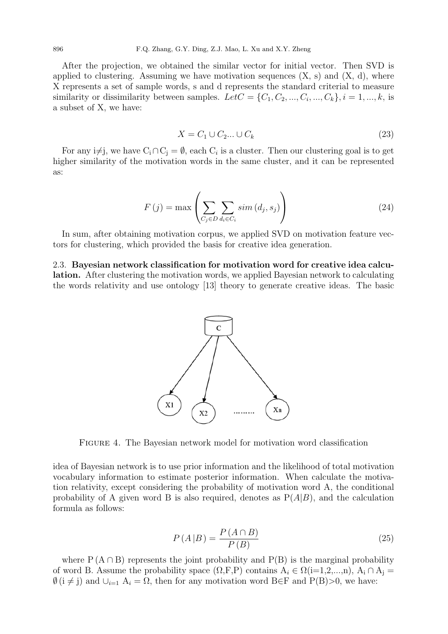After the projection, we obtained the similar vector for initial vector. Then SVD is applied to clustering. Assuming we have motivation sequences  $(X, s)$  and  $(X, d)$ , where X represents a set of sample words, s and d represents the standard criterial to measure similarity or dissimilarity between samples.  $Let C = \{C_1, C_2, ..., C_i, ..., C_k\}, i = 1, ..., k$ , is a subset of X, we have:

$$
X = C_1 \cup C_2 \dots \cup C_k \tag{23}
$$

For any i≠j, we have  $C_i \cap C_j = \emptyset$ , each  $C_i$  is a cluster. Then our clustering goal is to get higher similarity of the motivation words in the same cluster, and it can be represented as:

$$
F(j) = \max\left(\sum_{C_j \in D} \sum_{d_i \in C_i} sim(d_j, s_j)\right)
$$
\n(24)

In sum, after obtaining motivation corpus, we applied SVD on motivation feature vectors for clustering, which provided the basis for creative idea generation.

2.3. **Bayesian network classification for motivation word for creative idea calculation.** After clustering the motivation words, we applied Bayesian network to calculating the words relativity and use ontology [13] theory to generate creative ideas. The basic



Figure 4. The Bayesian network model for motivation word classification

idea of Bayesian network is to use prior information and the likelihood of total motivation vocabulary information to estimate posterior information. When calculate the motivation relativity, except considering the probability of motivation word A, the conditional probability of A given word B is also required, denotes as  $P(A|B)$ , and the calculation formula as follows:

$$
P(A|B) = \frac{P(A \cap B)}{P(B)}\tag{25}
$$

where  $P(A \cap B)$  represents the joint probability and  $P(B)$  is the marginal probability of word B. Assume the probability space  $(\Omega, \mathbb{F}, P)$  contains  $A_i \in \Omega(i=1,2,...,n)$ ,  $A_i \cap A_j =$  $\emptyset$  (i  $\neq$  j) and  $\cup_{i=1}$  A<sub>i</sub> =  $\Omega$ , then for any motivation word B $\in$ F and P(B)>0, we have: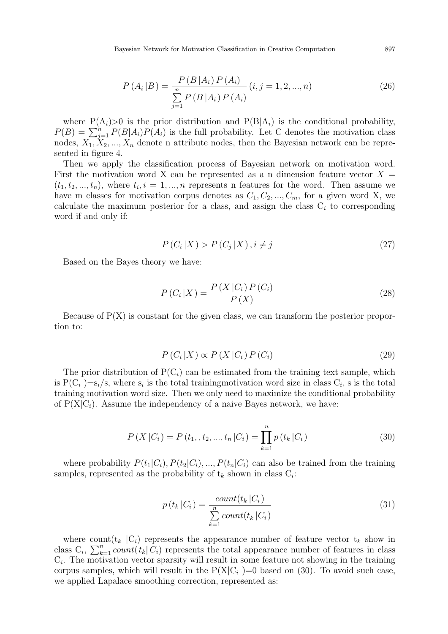Bayesian Network for Motivation Classification in Creative Computation 897

$$
P(A_i|B) = \frac{P(B|A_i) P(A_i)}{\sum_{j=1}^{n} P(B|A_i) P(A_i)} (i, j = 1, 2, ..., n)
$$
\n(26)

where  $P(A_i) > 0$  is the prior distribution and  $P(B|A_i)$  is the conditional probability,  $P(B) = \sum_{j=1}^{n} P(B|A_i) P(A_i)$  is the full probability. Let C denotes the motivation class nodes,  $X_1, X_2, ..., X_n$  denote n attribute nodes, then the Bayesian network can be represented in figure 4.

Then we apply the classification process of Bayesian network on motivation word. First the motivation word X can be represented as a n dimension feature vector  $X =$  $(t_1, t_2, \ldots, t_n)$ , where  $t_i, i = 1, \ldots, n$  represents n features for the word. Then assume we have m classes for motivation corpus denotes as  $C_1, C_2, ..., C_m$ , for a given word X, we calculate the maximum posterior for a class, and assign the class  $C<sub>i</sub>$  to corresponding word if and only if:

$$
P(C_i|X) > P(C_j|X), i \neq j \tag{27}
$$

Based on the Bayes theory we have:

$$
P(C_i|X) = \frac{P(X|C_i)P(C_i)}{P(X)}
$$
\n(28)

Because of  $P(X)$  is constant for the given class, we can transform the posterior proportion to:

$$
P(C_i|X) \propto P(X|C_i) P(C_i)
$$
\n(29)

The prior distribution of  $P(C_i)$  can be estimated from the training text sample, which is  $P(C_i) = s_i/s$ , where  $s_i$  is the total training motivation word size in class  $C_i$ , s is the total training motivation word size. Then we only need to maximize the conditional probability of  $P(X|C_i)$ . Assume the independency of a naive Bayes network, we have:

$$
P(X|C_i) = P(t_1, t_2, ..., t_n|C_i) = \prod_{k=1}^{n} p(t_k|C_i)
$$
\n(30)

where probability  $P(t_1|C_i)$ ,  $P(t_2|C_i)$ , ...,  $P(t_n|C_i)$  can also be trained from the training samples, represented as the probability of  $t_k$  shown in class  $C_i$ :

$$
p(t_k|C_i) = \frac{count(t_k|C_i)}{\sum_{k=1}^{n} count(t_k|C_i)}
$$
\n(31)

where count $(t_k | C_i)$  represents the appearance number of feature vector  $t_k$  show in class  $C_i$ ,  $\sum_{k=1}^n count(t_k|\tilde{C}_i)$  represents the total appearance number of features in class  $C_i$ . The motivation vector sparsity will result in some feature not showing in the training corpus samples, which will result in the  $P(X|C_i) = 0$  based on (30). To avoid such case, we applied Lapalace smoothing correction, represented as: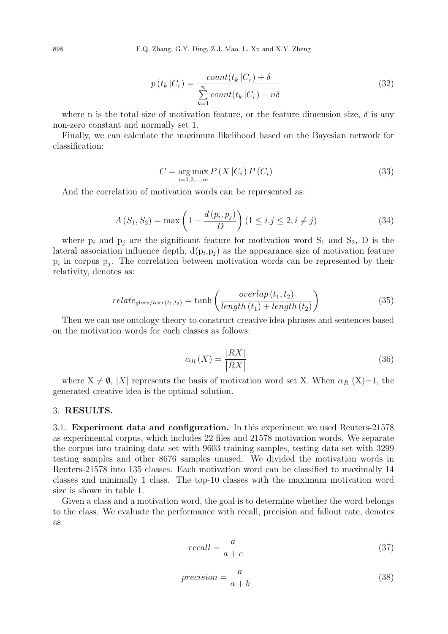$$
p(t_k | C_i) = \frac{count(t_k | C_i) + \delta}{\sum_{k=1}^{n} count(t_k | C_i) + n\delta}
$$
\n(32)

where n is the total size of motivation feature, or the feature dimension size,  $\delta$  is any non-zero constant and normally set 1.

Finally, we can calculate the maximum likelihood based on the Bayesian network for classification:

$$
C = \underset{i=1,2,...,m}{\arg \max} P(X | C_i) P(C_i)
$$
\n(33)

And the correlation of motivation words can be represented as:

$$
A(S_1, S_2) = \max\left(1 - \frac{d(p_i, p_j)}{D}\right) (1 \le i, j \le 2, i \ne j)
$$
 (34)

where  $p_i$  and  $p_j$  are the significant feature for motivation word  $S_1$  and  $S_2$ , D is the lateral association influence depth,  $d(p_i, p_j)$  as the appearance size of motivation feature  $p_i$  in corpus  $p_j$ . The correlation between motivation words can be represented by their relativity, denotes as:

$$
relate_{gloss/texe(t_1, t_2)} = \tanh\left(\frac{overlap\left(t_1, t_2\right)}{length\left(t_1\right) + length\left(t_2\right)}\right) \tag{35}
$$

Then we can use ontology theory to construct creative idea phrases and sentences based on the motivation words for each classes as follows:

$$
\alpha_R(X) = \frac{|RX|}{|\bar{R}X|} \tag{36}
$$

where  $X \neq \emptyset$ ,  $|X|$  represents the basis of motivation word set X. When  $\alpha_R$  (X)=1, the generated creative idea is the optimal solution.

## 3. **RESULTS.**

3.1. **Experiment data and configuration.** In this experiment we used Reuters-21578 as experimental corpus, which includes 22 files and 21578 motivation words. We separate the corpus into training data set with 9603 training samples, testing data set with 3299 testing samples and other 8676 samples unused. We divided the motivation words in Reuters-21578 into 135 classes. Each motivation word can be classified to maximally 14 classes and minimally 1 class. The top-10 classes with the maximum motivation word size is shown in table 1.

Given a class and a motivation word, the goal is to determine whether the word belongs to the class. We evaluate the performance with recall, precision and fallout rate, denotes as:

$$
recall = \frac{a}{a+c} \tag{37}
$$

$$
precision = \frac{a}{a+b} \tag{38}
$$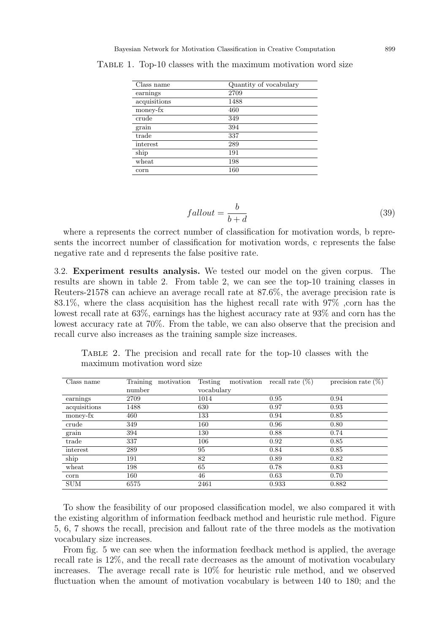| Class name   | Quantity of vocabulary |
|--------------|------------------------|
| earnings     | 2709                   |
| acquisitions | 1488                   |
| money-fx     | 460                    |
| crude        | 349                    |
| grain        | 394                    |
| trade        | 337                    |
| interest     | 289                    |
| ship         | 191                    |
| wheat        | 198                    |
| corn         | 160                    |

TABLE 1. Top-10 classes with the maximum motivation word size

$$
fallout = \frac{b}{b + d} \tag{39}
$$

where a represents the correct number of classification for motivation words, b represents the incorrect number of classification for motivation words, c represents the false negative rate and d represents the false positive rate.

3.2. **Experiment results analysis.** We tested our model on the given corpus. The results are shown in table 2. From table 2, we can see the top-10 training classes in Reuters-21578 can achieve an average recall rate at 87.6%, the average precision rate is 83.1%, where the class acquisition has the highest recall rate with  $97\%$ , corn has the lowest recall rate at 63%, earnings has the highest accuracy rate at 93% and corn has the lowest accuracy rate at 70%. From the table, we can also observe that the precision and recall curve also increases as the training sample size increases.

| Class name   | Training<br>motivation | Testing<br>motivation | recall rate $(\%)$ | precision rate $(\%)$ |
|--------------|------------------------|-----------------------|--------------------|-----------------------|
|              | number                 | vocabulary            |                    |                       |
| earnings     | 2709                   | 1014                  | 0.95               | 0.94                  |
| acquisitions | 1488                   | 630                   | 0.97               | 0.93                  |
| money-fx     | 460                    | 133                   | 0.94               | 0.85                  |
| crude        | 349                    | 160                   | 0.96               | 0.80                  |
| grain        | 394                    | 130                   | 0.88               | 0.74                  |
| trade        | 337                    | 106                   | 0.92               | 0.85                  |
| interest     | 289                    | 95                    | 0.84               | 0.85                  |
| ship         | 191                    | 82                    | 0.89               | 0.82                  |
| wheat        | 198                    | 65                    | 0.78               | 0.83                  |
| corn         | 160                    | 46                    | 0.63               | 0.70                  |
| <b>SUM</b>   | 6575                   | 2461                  | 0.933              | 0.882                 |

Table 2. The precision and recall rate for the top-10 classes with the maximum motivation word size

To show the feasibility of our proposed classification model, we also compared it with the existing algorithm of information feedback method and heuristic rule method. Figure 5, 6, 7 shows the recall, precision and fallout rate of the three models as the motivation vocabulary size increases.

From fig. 5 we can see when the information feedback method is applied, the average recall rate is 12%, and the recall rate decreases as the amount of motivation vocabulary increases. The average recall rate is 10% for heuristic rule method, and we observed fluctuation when the amount of motivation vocabulary is between 140 to 180; and the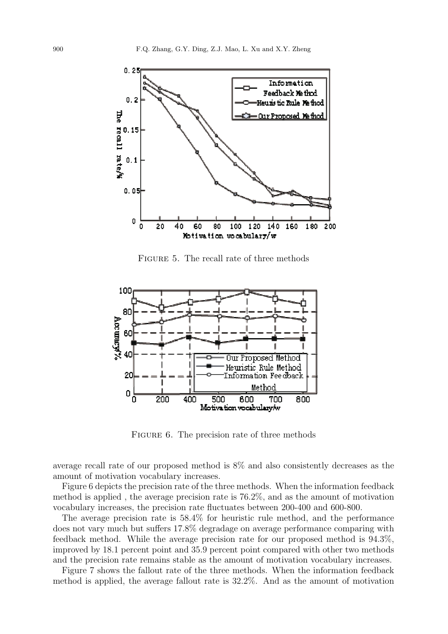

Figure 5. The recall rate of three methods



FIGURE 6. The precision rate of three methods

average recall rate of our proposed method is 8% and also consistently decreases as the amount of motivation vocabulary increases.

Figure 6 depicts the precision rate of the three methods. When the information feedback method is applied , the average precision rate is 76.2%, and as the amount of motivation vocabulary increases, the precision rate fluctuates between 200-400 and 600-800.

The average precision rate is 58.4% for heuristic rule method, and the performance does not vary much but suffers 17.8% degradage on average performance comparing with feedback method. While the average precision rate for our proposed method is 94.3%, improved by 18.1 percent point and 35.9 percent point compared with other two methods and the precision rate remains stable as the amount of motivation vocabulary increases.

Figure 7 shows the fallout rate of the three methods. When the information feedback method is applied, the average fallout rate is 32.2%. And as the amount of motivation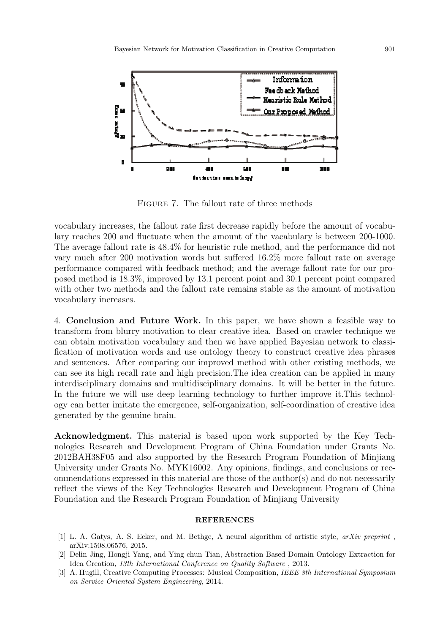

Figure 7. The fallout rate of three methods

vocabulary increases, the fallout rate first decrease rapidly before the amount of vocabulary reaches 200 and fluctuate when the amount of the vacabulary is between 200-1000. The average fallout rate is 48.4% for heuristic rule method, and the performance did not vary much after 200 motivation words but suffered 16.2% more fallout rate on average performance compared with feedback method; and the average fallout rate for our proposed method is 18.3%, improved by 13.1 percent point and 30.1 percent point compared with other two methods and the fallout rate remains stable as the amount of motivation vocabulary increases.

4. **Conclusion and Future Work.** In this paper, we have shown a feasible way to transform from blurry motivation to clear creative idea. Based on crawler technique we can obtain motivation vocabulary and then we have applied Bayesian network to classification of motivation words and use ontology theory to construct creative idea phrases and sentences. After comparing our improved method with other existing methods, we can see its high recall rate and high precision.The idea creation can be applied in many interdisciplinary domains and multidisciplinary domains. It will be better in the future. In the future we will use deep learning technology to further improve it. This technology can better imitate the emergence, self-organization, self-coordination of creative idea generated by the genuine brain.

**Acknowledgment.** This material is based upon work supported by the Key Technologies Research and Development Program of China Foundation under Grants No. 2012BAH38F05 and also supported by the Research Program Foundation of Minjiang University under Grants No. MYK16002. Any opinions, findings, and conclusions or recommendations expressed in this material are those of the author(s) and do not necessarily reflect the views of the Key Technologies Research and Development Program of China Foundation and the Research Program Foundation of Minjiang University

## **REFERENCES**

- [1] L. A. Gatys, A. S. Ecker, and M. Bethge, A neural algorithm of artistic style, *arXiv preprint* , arXiv:1508.06576, 2015.
- [2] Delin Jing, Hongji Yang, and Ying chun Tian, Abstraction Based Domain Ontology Extraction for Idea Creation, *13th International Conference on Quality Software* , 2013.
- [3] A. Hugill, Creative Computing Processes: Musical Composition, *IEEE 8th International Symposium on Service Oriented System Engineering*, 2014.